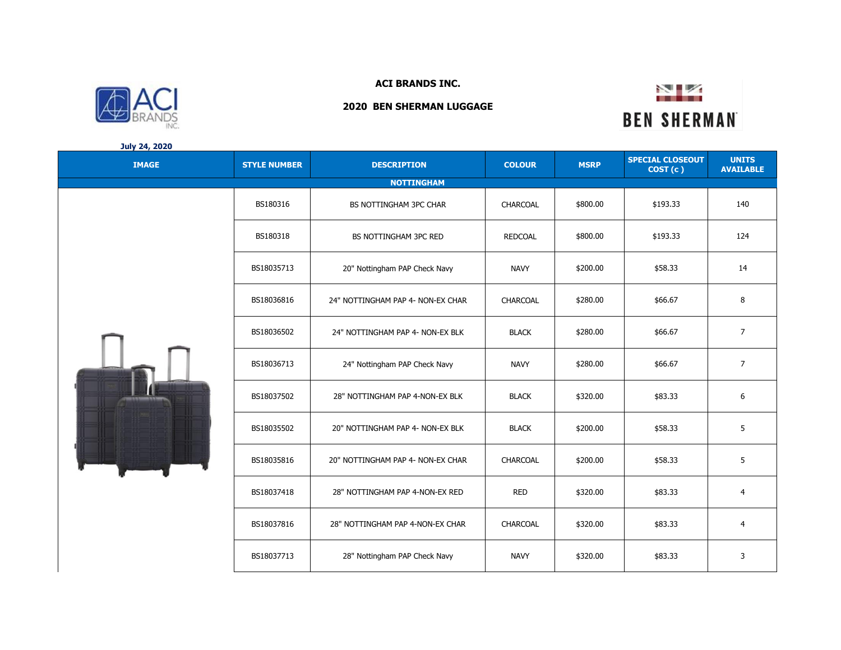

## **July 24, 2020**

## **IMAGE STYLE NUMBER DESCRIPTION COLOUR MSRP SPECIAL CLOSEOUT COST (c ) UNITS AVAILABLE** BS180316 BS NOTTINGHAM 3PC CHAR CHARCOAL \$800.00 \$193.33 140 BS180318 | BS NOTTINGHAM 3PC RED | REDCOAL | \$800.00 | \$193.33 | 124 BS18035713 20" Nottingham PAP Check Navy | NAVY | \$200.00 | \$58.33 | 14 BS18036816 24" NOTTINGHAM PAP 4- NON-EX CHAR CHARCOAL \$280.00  $\frac{1}{366.67}$  \$66.67 8 BS18036502 24" NOTTINGHAM PAP 4- NON-EX BLK | BLACK | \$280.00 | \$66.67 | 7 BS18036713 24" Nottingham PAP Check Navy NAVY \$280.00 \$66.67 7 BS18037502 | 28" NOTTINGHAM PAP 4-NON-EX BLK | BLACK | \$320.00 | \$83.33 | 6 BS18035502 20" NOTTINGHAM PAP 4- NON-EX BLK BLACK \$200.00 \$58.33 5 \$58.33 BS18035816 20" NOTTINGHAM PAP 4- NON-EX CHAR | CHARCOAL | \$200.00 | \$58.33 | 5 BS18037418 | 28" NOTTINGHAM PAP 4-NON-EX RED | RED | \$320.00 | \$83.33 | 4 BS18037816 | 28" NOTTINGHAM PAP 4-NON-EX CHAR | CHARCOAL | \$320.00 | \$83.33 | 4 **NOTTINGHAM**

BS18037713 | 28" Nottingham PAP Check Navy | NAVY | \$320.00 | \$83.33 | 3





**ACI BRANDS INC. 2020 BEN SHERMAN LUGGAGE**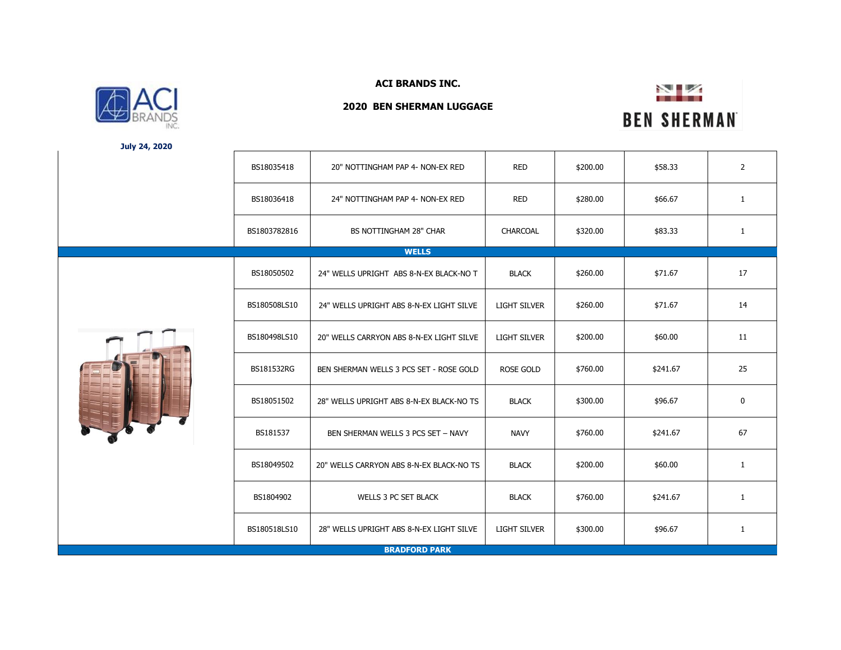

**July 24, 2020**

**ACI BRANDS INC.**

**2020 BEN SHERMAN LUGGAGE**



|  | BS18035418   | 20" NOTTINGHAM PAP 4- NON-EX RED         | <b>RED</b>          | \$200.00 | \$58.33  | $\overline{2}$ |
|--|--------------|------------------------------------------|---------------------|----------|----------|----------------|
|  | BS18036418   | 24" NOTTINGHAM PAP 4- NON-EX RED         | <b>RED</b>          | \$280.00 | \$66.67  | $\mathbf{1}$   |
|  | BS1803782816 | BS NOTTINGHAM 28" CHAR                   | CHARCOAL            | \$320.00 | \$83.33  | $\mathbf{1}$   |
|  |              | <b>WELLS</b>                             |                     |          |          |                |
|  | BS18050502   | 24" WELLS UPRIGHT ABS 8-N-EX BLACK-NO T  | <b>BLACK</b>        | \$260.00 | \$71.67  | 17             |
|  | BS180508LS10 | 24" WELLS UPRIGHT ABS 8-N-EX LIGHT SILVE | <b>LIGHT SILVER</b> | \$260.00 | \$71.67  | 14             |
|  | BS180498LS10 | 20" WELLS CARRYON ABS 8-N-EX LIGHT SILVE | <b>LIGHT SILVER</b> | \$200.00 | \$60.00  | 11             |
|  | BS181532RG   | BEN SHERMAN WELLS 3 PCS SET - ROSE GOLD  | <b>ROSE GOLD</b>    | \$760.00 | \$241.67 | 25             |
|  | BS18051502   | 28" WELLS UPRIGHT ABS 8-N-EX BLACK-NO TS | <b>BLACK</b>        | \$300.00 | \$96.67  | $\mathbf 0$    |
|  | BS181537     | BEN SHERMAN WELLS 3 PCS SET - NAVY       | <b>NAVY</b>         | \$760.00 | \$241.67 | 67             |
|  | BS18049502   | 20" WELLS CARRYON ABS 8-N-EX BLACK-NO TS | <b>BLACK</b>        | \$200.00 | \$60.00  | $\mathbf{1}$   |
|  | BS1804902    | <b>WELLS 3 PC SET BLACK</b>              | <b>BLACK</b>        | \$760.00 | \$241.67 | $\mathbf{1}$   |
|  | BS180518LS10 | 28" WELLS UPRIGHT ABS 8-N-EX LIGHT SILVE | <b>LIGHT SILVER</b> | \$300.00 | \$96.67  | $\mathbf{1}$   |
|  |              | <b>BRADFORD PARK</b>                     |                     |          |          |                |